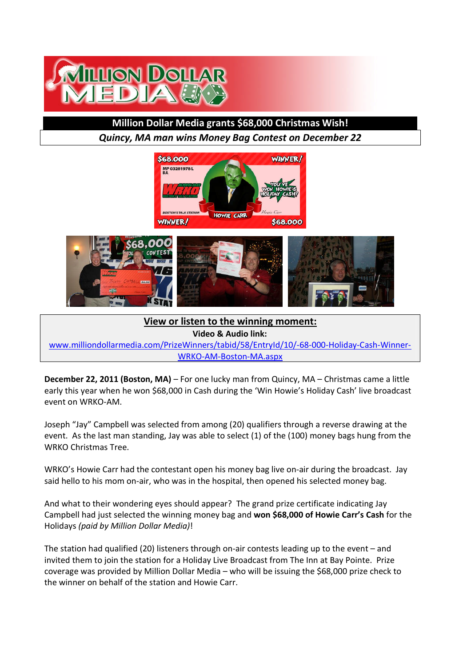

## **Million Dollar Media grants \$68,000 Christmas Wish!**

*Quincy, MA man wins Money Bag Contest on December 22*





**View or listen to the winning moment: Video & Audio link:**

www.milliondollarmedia.com/PrizeWinners/tabid/58/EntryId/10/-68-000-Holiday-Cash-Winner-WRKO-AM-Boston-MA.aspx

**December 22, 2011 (Boston, MA)** – For one lucky man from Quincy, MA – Christmas came a little early this year when he won \$68,000 in Cash during the 'Win Howie's Holiday Cash' live broadcast event on WRKO-AM.

Joseph "Jay" Campbell was selected from among (20) qualifiers through a reverse drawing at the event. As the last man standing, Jay was able to select (1) of the (100) money bags hung from the WRKO Christmas Tree.

WRKO's Howie Carr had the contestant open his money bag live on-air during the broadcast. Jay said hello to his mom on-air, who was in the hospital, then opened his selected money bag.

And what to their wondering eyes should appear? The grand prize certificate indicating Jay Campbell had just selected the winning money bag and **won \$68,000 of Howie Carr's Cash** for the Holidays *(paid by Million Dollar Media)*!

The station had qualified (20) listeners through on-air contests leading up to the event – and invited them to join the station for a Holiday Live Broadcast from The Inn at Bay Pointe. Prize coverage was provided by Million Dollar Media – who will be issuing the \$68,000 prize check to the winner on behalf of the station and Howie Carr.